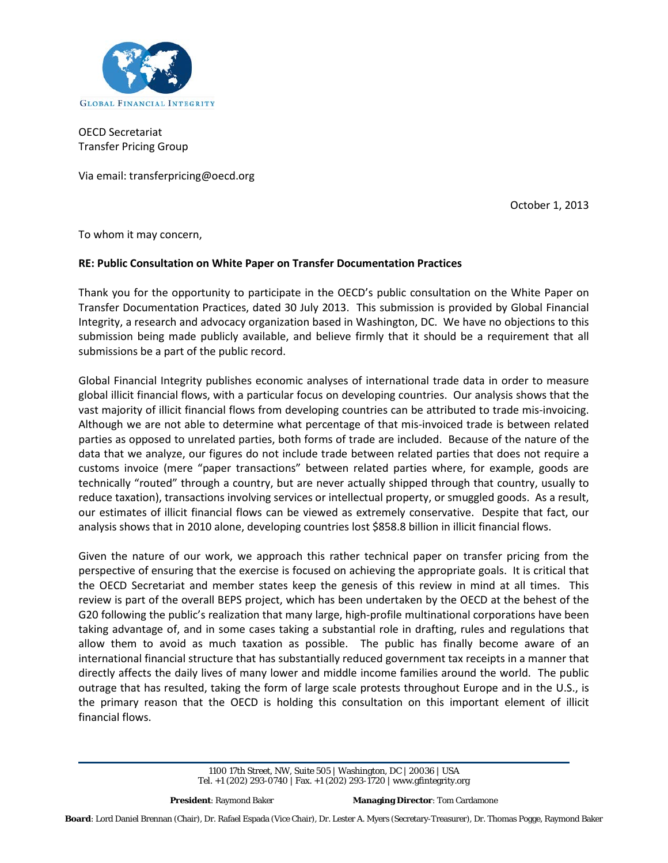

OECD Secretariat Transfer Pricing Group

Via email: transferpricing@oecd.org

October 1, 2013

To whom it may concern,

#### **RE: Public Consultation on White Paper on Transfer Documentation Practices**

Thank you for the opportunity to participate in the OECD's public consultation on the White Paper on Transfer Documentation Practices, dated 30 July 2013. This submission is provided by Global Financial Integrity, a research and advocacy organization based in Washington, DC. We have no objections to this submission being made publicly available, and believe firmly that it should be a requirement that all submissions be a part of the public record.

Global Financial Integrity publishes economic analyses of international trade data in order to measure global illicit financial flows, with a particular focus on developing countries. Our analysis shows that the vast majority of illicit financial flows from developing countries can be attributed to trade mis-invoicing. Although we are not able to determine what percentage of that mis-invoiced trade is between related parties as opposed to unrelated parties, both forms of trade are included. Because of the nature of the data that we analyze, our figures do not include trade between related parties that does not require a customs invoice (mere "paper transactions" between related parties where, for example, goods are technically "routed" through a country, but are never actually shipped through that country, usually to reduce taxation), transactions involving services or intellectual property, or smuggled goods. As a result, our estimates of illicit financial flows can be viewed as extremely conservative. Despite that fact, our analysis shows that in 2010 alone, developing countries lost \$858.8 billion in illicit financial flows.

Given the nature of our work, we approach this rather technical paper on transfer pricing from the perspective of ensuring that the exercise is focused on achieving the appropriate goals. It is critical that the OECD Secretariat and member states keep the genesis of this review in mind at all times. This review is part of the overall BEPS project, which has been undertaken by the OECD at the behest of the G20 following the public's realization that many large, high-profile multinational corporations have been taking advantage of, and in some cases taking a substantial role in drafting, rules and regulations that allow them to avoid as much taxation as possible. The public has finally become aware of an international financial structure that has substantially reduced government tax receipts in a manner that directly affects the daily lives of many lower and middle income families around the world. The public outrage that has resulted, taking the form of large scale protests throughout Europe and in the U.S., is the primary reason that the OECD is holding this consultation on this important element of illicit financial flows.

> 1100 17th Street, NW, Suite 505 | Washington, DC | 20036 | USA Tel. +1 (202) 293-0740 | Fax. +1 (202) 293-1720 | www.gfintegrity.org

**President**: Raymond Baker **Managing Director**: Tom Cardamone

**Board**: Lord Daniel Brennan (Chair), Dr. Rafael Espada (Vice Chair), Dr. Lester A. Myers (Secretary-Treasurer), Dr. Thomas Pogge, Raymond Baker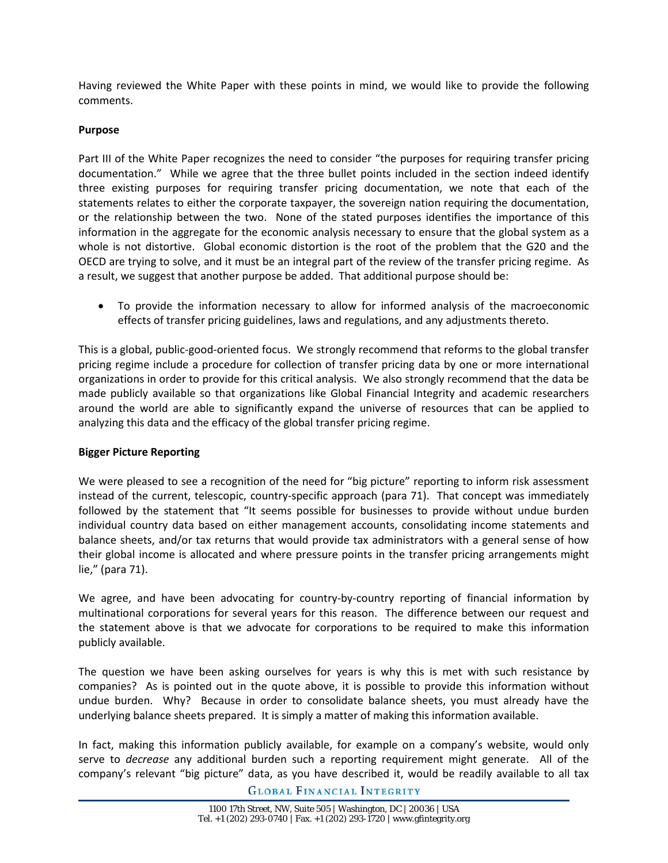Having reviewed the White Paper with these points in mind, we would like to provide the following comments.

## **Purpose**

Part III of the White Paper recognizes the need to consider "the purposes for requiring transfer pricing documentation." While we agree that the three bullet points included in the section indeed identify three existing purposes for requiring transfer pricing documentation, we note that each of the statements relates to either the corporate taxpayer, the sovereign nation requiring the documentation, or the relationship between the two. None of the stated purposes identifies the importance of this information in the aggregate for the economic analysis necessary to ensure that the global system as a whole is not distortive. Global economic distortion is the root of the problem that the G20 and the OECD are trying to solve, and it must be an integral part of the review of the transfer pricing regime. As a result, we suggest that another purpose be added. That additional purpose should be:

• To provide the information necessary to allow for informed analysis of the macroeconomic effects of transfer pricing guidelines, laws and regulations, and any adjustments thereto.

This is a global, public-good-oriented focus. We strongly recommend that reforms to the global transfer pricing regime include a procedure for collection of transfer pricing data by one or more international organizations in order to provide for this critical analysis. We also strongly recommend that the data be made publicly available so that organizations like Global Financial Integrity and academic researchers around the world are able to significantly expand the universe of resources that can be applied to analyzing this data and the efficacy of the global transfer pricing regime.

# **Bigger Picture Reporting**

We were pleased to see a recognition of the need for "big picture" reporting to inform risk assessment instead of the current, telescopic, country-specific approach (para 71). That concept was immediately followed by the statement that "It seems possible for businesses to provide without undue burden individual country data based on either management accounts, consolidating income statements and balance sheets, and/or tax returns that would provide tax administrators with a general sense of how their global income is allocated and where pressure points in the transfer pricing arrangements might lie," (para 71).

We agree, and have been advocating for country-by-country reporting of financial information by multinational corporations for several years for this reason. The difference between our request and the statement above is that we advocate for corporations to be required to make this information publicly available.

The question we have been asking ourselves for years is why this is met with such resistance by companies? As is pointed out in the quote above, it is possible to provide this information without undue burden. Why? Because in order to consolidate balance sheets, you must already have the underlying balance sheets prepared. It is simply a matter of making this information available.

In fact, making this information publicly available, for example on a company's website, would only serve to *decrease* any additional burden such a reporting requirement might generate. All of the company's relevant "big picture" data, as you have described it, would be readily available to all tax

**GLOBAL FINANCIAL INTEGRITY**